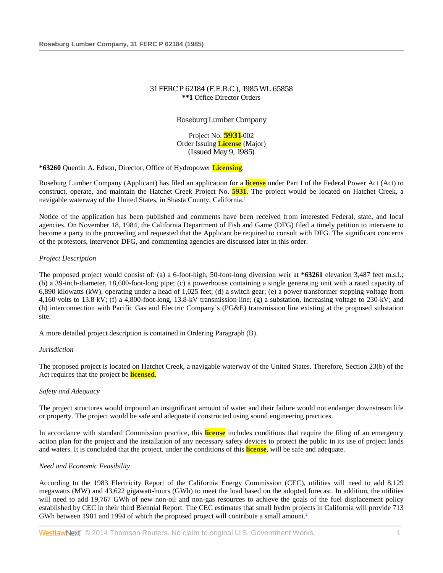# 31 FERC P 62184 (F.E.R.C.), 1985 WL 65858 **\*\*1** Office Director Orders

# Roseburg Lumber Company

Project No. **5931**-002 Order Issuing **License** (Major) (Issued May 9, 1985)

**\*63260** Quentin A. Edson, Director, Office of Hydropower **Licensing**.

Roseburg Lumber Company (Applicant) has filed an application for a **license** under Part I of the Federal Power Act (Act) to construct, operate, and maintain the Hatchet Creek Project No. **5931**. The project would be located on Hatchet Creek, a navigable waterway of the United States, in Shasta County, California.<sup>1</sup>

Notice of the application has been published and comments have been received from interested Federal, state, and local agencies. On November 18, 1984, the California Department of Fish and Game (DFG) filed a timely petition to intervene to become a party to the proceeding and requested that the Applicant be required to consult with DFG. The significant concerns of the protestors, intervenor DFG, and commenting agencies are discussed later in this order.

## *Project Description*

The proposed project would consist of: (a) a 6-foot-high, 50-foot-long diversion weir at **\*63261** elevation 3,487 feet m.s.l.; (b) a 39-inch-diameter, 18,600-foot-long pipe; (c) a powerhouse containing a single generating unit with a rated capacity of 6,890 kilowatts (kW), operating under a head of 1,025 feet; (d) a switch gear; (e) a power transformer stepping voltage from 4,160 volts to 13.8 kV; (f) a 4,800-foot-long, 13.8-kV transmission line; (g) a substation, increasing voltage to 230-kV; and (h) interconnection with Pacific Gas and Electric Company's (PG&E) transmission line existing at the proposed substation site.

A more detailed project description is contained in Ordering Paragraph (B).

#### *Jurisdiction*

The proposed project is located on Hatchet Creek, a navigable waterway of the United States. Therefore, Section 23(b) of the Act requires that the project be **licensed**.

## *Safety and Adequacy*

The project structures would impound an insignificant amount of water and their failure would not endanger downstream life or property. The project would be safe and adequate if constructed using sound engineering practices.

In accordance with standard Commission practice, this **license** includes conditions that require the filing of an emergency action plan for the project and the installation of any necessary safety devices to protect the public in its use of project lands and waters. It is concluded that the project, under the conditions of this **license**, will be safe and adequate.

## *Need and Economic Feasibility*

According to the 1983 Electricity Report of the California Energy Commission (CEC), utilities will need to add 8,129 megawatts (MW) and 43,622 gigawatt-hours (GWh) to meet the load based on the adopted forecast. In addition, the utilities will need to add 19,767 GWh of new non-oil and non-gas resources to achieve the goals of the fuel displacement policy established by CEC in their third Biennial Report. The CEC estimates that small hydro projects in California will provide 713 GWh between 1981 and 1994 of which the proposed project will contribute a small amount.<sup>2</sup>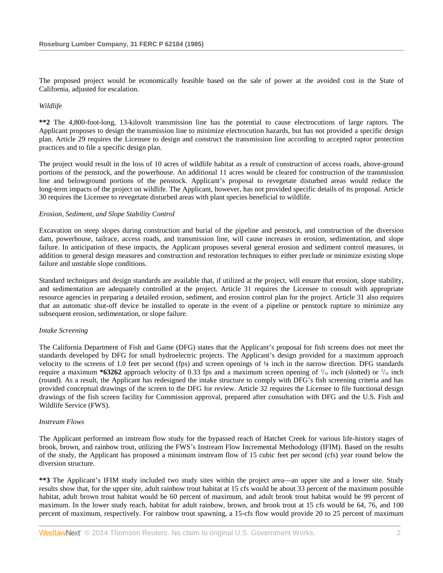The proposed project would be economically feasible based on the sale of power at the avoided cost in the State of California, adjusted for escalation.

*Wildlife*

**\*\*2** The 4,800-foot-long, 13-kilovolt transmission line has the potential to cause electrocutions of large raptors. The Applicant proposes to design the transmission line to minimize electrocution hazards, but has not provided a specific design plan. Article 29 requires the Licensee to design and construct the transmission line according to accepted raptor protection practices and to file a specific design plan.

The project would result in the loss of 10 acres of wildlife habitat as a result of construction of access roads, above-ground portions of the penstock, and the powerhouse. An additional 11 acres would be cleared for construction of the transmission line and belowground portions of the penstock. Applicant's proposal to revegetate disturbed areas would reduce the long-term impacts of the project on wildlife. The Applicant, however, has not provided specific details of its proposal. Article 30 requires the Licensee to revegetate disturbed areas with plant species beneficial to wildlife.

### *Erosion, Sediment, and Slope Stability Control*

Excavation on steep slopes during construction and burial of the pipeline and penstock, and construction of the diversion dam, powerhouse, tailrace, access roads, and transmission line, will cause increases in erosion, sedimentation, and slope failure. In anticipation of these impacts, the Applicant proposes several general erosion and sediment control measures, in addition to general design measures and construction and restoration techniques to either preclude or minimize existing slope failure and unstable slope conditions.

Standard techniques and design standards are available that, if utilized at the project, will ensure that erosion, slope stability, and sedimentation are adequately controlled at the project. Article 31 requires the Licensee to consult with appropriate resource agencies in preparing a detailed erosion, sediment, and erosion control plan for the project. Article 31 also requires that an automatic shut-off device be installed to operate in the event of a pipeline or penstock rupture to minimize any subsequent erosion, sedimentation, or slope failure.

#### *Intake Screening*

The California Department of Fish and Game (DFG) states that the Applicant's proposal for fish screens does not meet the standards developed by DFG for small hydroelectric projects. The Applicant's design provided for a maximum approach velocity to the screens of 1.0 feet per second (fps) and screen openings of ¼ inch in the narrow direction. DFG standards require a maximum **\*63262** approach velocity of 0.33 fps and a maximum screen opening of  $\frac{3}{32}$  inch (slotted) or  $\frac{5}{32}$  inch (round). As a result, the Applicant has redesigned the intake structure to comply with DFG's fish screening criteria and has provided conceptual drawings of the screen to the DFG for review. Article 32 requires the Licensee to file functional design drawings of the fish screen facility for Commission approval, prepared after consultation with DFG and the U.S. Fish and Wildlife Service (FWS).

#### *Instream Flows*

The Applicant performed an instream flow study for the bypassed reach of Hatchet Creek for various life-history stages of brook, brown, and rainbow trout, utilizing the FWS's Instream Flow Incremental Methodology (IFIM). Based on the results of the study, the Applicant has proposed a minimum instream flow of 15 cubic feet per second (cfs) year round below the diversion structure.

**\*\*3** The Applicant's IFIM study included two study sites within the project area—an upper site and a lower site. Study results show that, for the upper site, adult rainbow trout habitat at 15 cfs would be about 33 percent of the maximum possible habitat, adult brown trout habitat would be 60 percent of maximum, and adult brook trout habitat would be 99 percent of maximum. In the lower study reach, habitat for adult rainbow, brown, and brook trout at 15 cfs would be 64, 76, and 100 percent of maximum, respectively. For rainbow trout spawning, a 15-cfs flow would provide 20 to 25 percent of maximum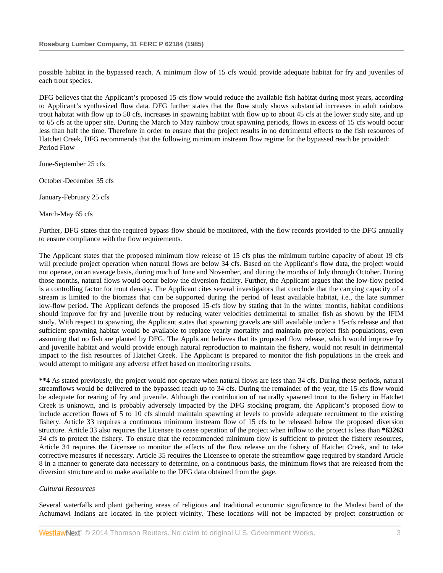possible habitat in the bypassed reach. A minimum flow of 15 cfs would provide adequate habitat for fry and juveniles of each trout species.

DFG believes that the Applicant's proposed 15-cfs flow would reduce the available fish habitat during most years, according to Applicant's synthesized flow data. DFG further states that the flow study shows substantial increases in adult rainbow trout habitat with flow up to 50 cfs, increases in spawning habitat with flow up to about 45 cfs at the lower study site, and up to 65 cfs at the upper site. During the March to May rainbow trout spawning periods, flows in excess of 15 cfs would occur less than half the time. Therefore in order to ensure that the project results in no detrimental effects to the fish resources of Hatchet Creek, DFG recommends that the following minimum instream flow regime for the bypassed reach be provided: Period Flow

June-September 25 cfs

October-December 35 cfs

January-February 25 cfs

March-May 65 cfs

Further, DFG states that the required bypass flow should be monitored, with the flow records provided to the DFG annually to ensure compliance with the flow requirements.

The Applicant states that the proposed minimum flow release of 15 cfs plus the minimum turbine capacity of about 19 cfs will preclude project operation when natural flows are below 34 cfs. Based on the Applicant's flow data, the project would not operate, on an average basis, during much of June and November, and during the months of July through October. During those months, natural flows would occur below the diversion facility. Further, the Applicant argues that the low-flow period is a controlling factor for trout density. The Applicant cites several investigators that conclude that the carrying capacity of a stream is limited to the biomass that can be supported during the period of least available habitat, i.e., the late summer low-flow period. The Applicant defends the proposed 15-cfs flow by stating that in the winter months, habitat conditions should improve for fry and juvenile trout by reducing water velocities detrimental to smaller fish as shown by the IFIM study. With respect to spawning, the Applicant states that spawning gravels are still available under a 15-cfs release and that sufficient spawning habitat would be available to replace yearly mortality and maintain pre-project fish populations, even assuming that no fish are planted by DFG. The Applicant believes that its proposed flow release, which would improve fry and juvenile habitat and would provide enough natural reproduction to maintain the fishery, would not result in detrimental impact to the fish resources of Hatchet Creek. The Applicant is prepared to monitor the fish populations in the creek and would attempt to mitigate any adverse effect based on monitoring results.

**\*\*4** As stated previously, the project would not operate when natural flows are less than 34 cfs. During these periods, natural streamflows would be delivered to the bypassed reach up to 34 cfs. During the remainder of the year, the 15-cfs flow would be adequate for rearing of fry and juvenile. Although the contribution of naturally spawned trout to the fishery in Hatchet Creek is unknown, and is probably adversely impacted by the DFG stocking program, the Applicant's proposed flow to include accretion flows of 5 to 10 cfs should maintain spawning at levels to provide adequate recruitment to the existing fishery. Article 33 requires a continuous minimum instream flow of 15 cfs to be released below the proposed diversion structure. Article 33 also requires the Licensee to cease operation of the project when inflow to the project is less than **\*63263** 34 cfs to protect the fishery. To ensure that the recommended minimum flow is sufficient to protect the fishery resources, Article 34 requires the Licensee to monitor the effects of the flow release on the fishery of Hatchet Creek, and to take corrective measures if necessary. Article 35 requires the Licensee to operate the streamflow gage required by standard Article 8 in a manner to generate data necessary to determine, on a continuous basis, the minimum flows that are released from the diversion structure and to make available to the DFG data obtained from the gage.

#### *Cultural Resources*

Several waterfalls and plant gathering areas of religious and traditional economic significance to the Madesi band of the Achumawi Indians are located in the project vicinity. These locations will not be impacted by project construction or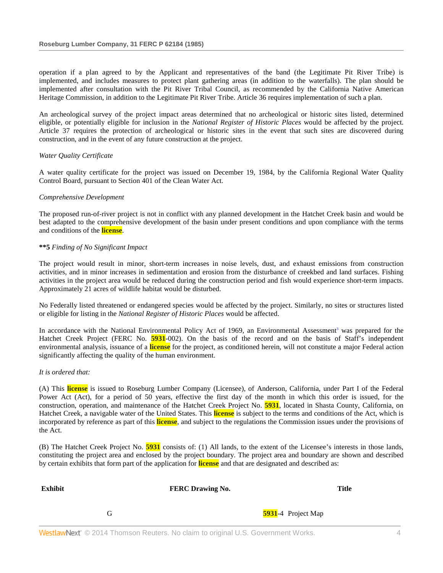operation if a plan agreed to by the Applicant and representatives of the band (the Legitimate Pit River Tribe) is implemented, and includes measures to protect plant gathering areas (in addition to the waterfalls). The plan should be implemented after consultation with the Pit River Tribal Council, as recommended by the California Native American Heritage Commission, in addition to the Legitimate Pit River Tribe. Article 36 requires implementation of such a plan.

An archeological survey of the project impact areas determined that no archeological or historic sites listed, determined eligible, or potentially eligible for inclusion in the *National Register of Historic Places* would be affected by the project. Article 37 requires the protection of archeological or historic sites in the event that such sites are discovered during construction, and in the event of any future construction at the project.

#### *Water Quality Certificate*

A water quality certificate for the project was issued on December 19, 1984, by the California Regional Water Quality Control Board, pursuant to Section 401 of the Clean Water Act.

#### *Comprehensive Development*

The proposed run-of-river project is not in conflict with any planned development in the Hatchet Creek basin and would be best adapted to the comprehensive development of the basin under present conditions and upon compliance with the terms and conditions of the **license**.

### **\*\*5** *Finding of No Significant Impact*

The project would result in minor, short-term increases in noise levels, dust, and exhaust emissions from construction activities, and in minor increases in sedimentation and erosion from the disturbance of creekbed and land surfaces. Fishing activities in the project area would be reduced during the construction period and fish would experience short-term impacts. Approximately 21 acres of wildlife habitat would be disturbed.

No Federally listed threatened or endangered species would be affected by the project. Similarly, no sites or structures listed or eligible for listing in the *National Register of Historic Places* would be affected.

In accordance with the National Environmental Policy Act of 1969, an Environmental Assessment<sup>3</sup> was prepared for the Hatchet Creek Project (FERC No. **5931**-002). On the basis of the record and on the basis of Staff's independent environmental analysis, issuance of a **license** for the project, as conditioned herein, will not constitute a major Federal action significantly affecting the quality of the human environment.

#### *It is ordered that:*

(A) This **license** is issued to Roseburg Lumber Company (Licensee), of Anderson, California, under Part I of the Federal Power Act (Act), for a period of 50 years, effective the first day of the month in which this order is issued, for the construction, operation, and maintenance of the Hatchet Creek Project No. **5931**, located in Shasta County, California, on Hatchet Creek, a navigable water of the United States. This **license** is subject to the terms and conditions of the Act, which is incorporated by reference as part of this **license**, and subject to the regulations the Commission issues under the provisions of the Act.

(B) The Hatchet Creek Project No. **5931** consists of: (1) All lands, to the extent of the Licensee's interests in those lands, constituting the project area and enclosed by the project boundary. The project area and boundary are shown and described by certain exhibits that form part of the application for **license** and that are designated and described as:

| Exhibit | <b>FERC Drawing No.</b> |                    | <b>Title</b> |
|---------|-------------------------|--------------------|--------------|
|         |                         | 5931-4 Project Map |              |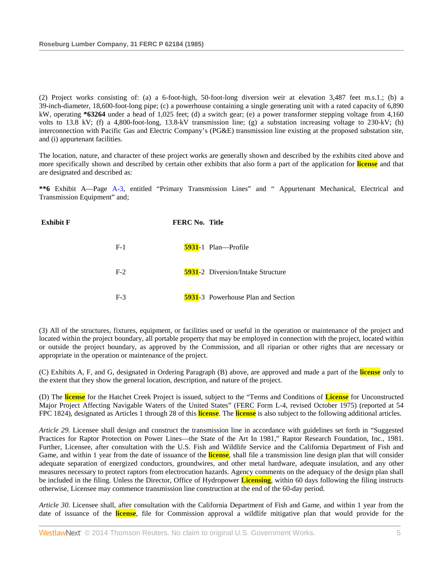(2) Project works consisting of: (a) a 6-foot-high, 50-foot-long diversion weir at elevation 3,487 feet m.s.1.; (b) a 39-inch-diameter, 18,600-foot-long pipe; (c) a powerhouse containing a single generating unit with a rated capacity of 6,890 kW, operating **\*63264** under a head of 1,025 feet; (d) a switch gear; (e) a power transformer stepping voltage from 4,160 volts to 13.8 kV; (f) a 4,800-foot-long, 13.8-kV transmission line; (g) a substation increasing voltage to 230-kV; (h) interconnection with Pacific Gas and Electric Company's (PG&E) transmission line existing at the proposed substation site, and (i) appurtenant facilities.

The location, nature, and character of these project works are generally shown and described by the exhibits cited above and more specifically shown and described by certain other exhibits that also form a part of the application for **license** and that are designated and described as:

**\*\*6** Exhibit A—Page [A-3,](http://www.westlaw.com/Link/Document/FullText?findType=Y&cite=CGOA3&originationContext=document&vr=3.0&rs=cblt1.0&transitionType=DocumentItem&contextData=(sc.Search)) entitled "Primary Transmission Lines" and " Appurtenant Mechanical, Electrical and Transmission Equipment" and;



(3) All of the structures, fixtures, equipment, or facilities used or useful in the operation or maintenance of the project and located within the project boundary, all portable property that may be employed in connection with the project, located within or outside the project boundary, as approved by the Commission, and all riparian or other rights that are necessary or appropriate in the operation or maintenance of the project.

(C) Exhibits A, F, and G, designated in Ordering Paragraph (B) above, are approved and made a part of the **license** only to the extent that they show the general location, description, and nature of the project.

(D) The **license** for the Hatchet Creek Project is issued, subject to the "Terms and Conditions of **License** for Unconstructed Major Project Affecting Navigable Waters of the United States" (FERC Form L-4, revised October 1975) (reported at 54 FPC 1824), designated as Articles 1 through 28 of this **license**. The **license** is also subject to the following additional articles.

*Article 29.* Licensee shall design and construct the transmission line in accordance with guidelines set forth in "Suggested Practices for Raptor Protection on Power Lines—the State of the Art In 1981," Raptor Research Foundation, Inc., 1981. Further, Licensee, after consultation with the U.S. Fish and Wildlife Service and the California Department of Fish and Game, and within 1 year from the date of issuance of the **license**, shall file a transmission line design plan that will consider adequate separation of energized conductors, groundwires, and other metal hardware, adequate insulation, and any other measures necessary to protect raptors from electrocution hazards. Agency comments on the adequacy of the design plan shall be included in the filing. Unless the Director, Office of Hydropower **Licensing**, within 60 days following the filing instructs otherwise, Licensee may commence transmission line construction at the end of the 60-day period.

*Article 30.* Licensee shall, after consultation with the California Department of Fish and Game, and within 1 year from the date of issuance of the **license**, file for Commission approval a wildlife mitigative plan that would provide for the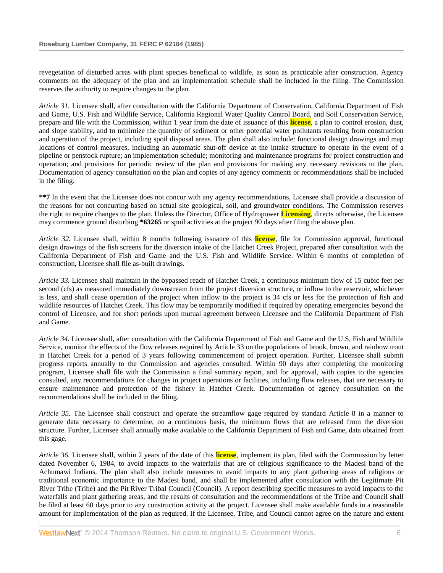revegetation of disturbed areas with plant species beneficial to wildlife, as soon as practicable after construction. Agency comments on the adequacy of the plan and an implementation schedule shall be included in the filing. The Commission reserves the authority to require changes to the plan.

*Article 31.* Licensee shall, after consultation with the California Department of Conservation, California Department of Fish and Game, U.S. Fish and Wildlife Service, California Regional Water Quality Control Board, and Soil Conservation Service, prepare and file with the Commission, within 1 year from the date of issuance of this **license**, a plan to control erosion, dust, and slope stability, and to minimize the quantity of sediment or other potential water pollutants resulting from construction and operation of the project, including spoil disposal areas. The plan shall also include: functional design drawings and map locations of control measures, including an automatic shut-off device at the intake structure to operate in the event of a pipeline or penstock rupture; an implementation schedule; monitoring and maintenance programs for project construction and operation; and provisions for periodic review of the plan and provisions for making any necessary revisions to the plan. Documentation of agency consultation on the plan and copies of any agency comments or recommendations shall be included in the filing.

**\*\*7** In the event that the Licensee does not concur with any agency recommendations, Licensee shall provide a discussion of the reasons for not concurring based on actual site geological, soil, and groundwater conditions. The Commission reserves the right to require changes to the plan. Unless the Director, Office of Hydropower **Licensing**, directs otherwise, the Licensee may commence ground disturbing **\*63265** or spoil activities at the project 90 days after filing the above plan.

*Article 32.* Licensee shall, within 8 months following issuance of this **license**, file for Commission approval, functional design drawings of the fish screens for the diversion intake of the Hatchet Creek Project, prepared after consultation with the California Department of Fish and Game and the U.S. Fish and Wildlife Service. Within 6 months of completion of construction, Licensee shall file as-built drawings.

*Article 33.* Licensee shall maintain in the bypassed reach of Hatchet Creek, a continuous minimum flow of 15 cubic feet per second (cfs) as measured immediately downstream from the project diversion structure, or inflow to the reservoir, whichever is less, and shall cease operation of the project when inflow to the project is 34 cfs or less for the protection of fish and wildlife resources of Hatchet Creek. This flow may be temporarily modified if required by operating emergencies beyond the control of Licensee, and for short periods upon mutual agreement between Licensee and the California Department of Fish and Game.

*Article 34.* Licensee shall, after consultation with the California Department of Fish and Game and the U.S. Fish and Wildlife Service, monitor the effects of the flow releases required by Article 33 on the populations of brook, brown, and rainbow trout in Hatchet Creek for a period of 3 years following commencement of project operation. Further, Licensee shall submit progress reports annually to the Commission and agencies consulted. Within 90 days after completing the monitoring program, Licensee shall file with the Commission a final summary report, and for approval, with copies to the agencies consulted, any recommendations for changes in project operations or facilities, including flow releases, that are necessary to ensure maintenance and protection of the fishery in Hatchet Creek. Documentation of agency consultation on the recommendations shall be included in the filing.

*Article 35.* The Licensee shall construct and operate the streamflow gage required by standard Article 8 in a manner to generate data necessary to determine, on a continuous basis, the minimum flows that are released from the diversion structure. Further, Licensee shall annually make available to the California Department of Fish and Game, data obtained from this gage.

*Article 36.* Licensee shall, within 2 years of the date of this **license**, implement its plan, filed with the Commission by letter dated November 6, 1984, to avoid impacts to the waterfalls that are of religious significance to the Madesi band of the Achumawi Indians. The plan shall also include measures to avoid impacts to any plant gathering areas of religious or traditional economic importance to the Madesi band, and shall be implemented after consultation with the Legitimate Pit River Tribe (Tribe) and the Pit River Tribal Council (Council). A report describing specific measures to avoid impacts to the waterfalls and plant gathering areas, and the results of consultation and the recommendations of the Tribe and Council shall be filed at least 60 days prior to any construction activity at the project. Licensee shall make available funds in a reasonable amount for implementation of the plan as required. If the Licensee, Tribe, and Council cannot agree on the nature and extent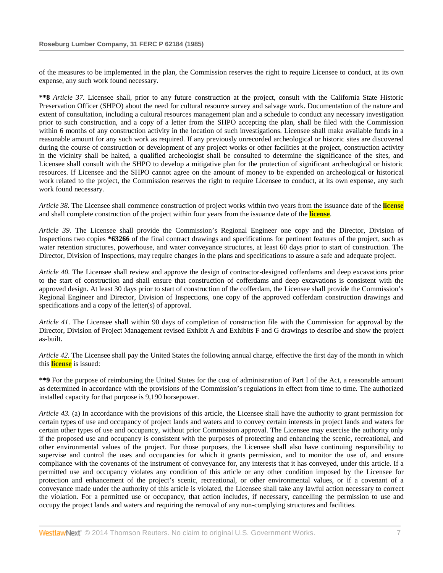of the measures to be implemented in the plan, the Commission reserves the right to require Licensee to conduct, at its own expense, any such work found necessary.

**\*\*8** *Article 37.* Licensee shall, prior to any future construction at the project, consult with the California State Historic Preservation Officer (SHPO) about the need for cultural resource survey and salvage work. Documentation of the nature and extent of consultation, including a cultural resources management plan and a schedule to conduct any necessary investigation prior to such construction, and a copy of a letter from the SHPO accepting the plan, shall be filed with the Commission within 6 months of any construction activity in the location of such investigations. Licensee shall make available funds in a reasonable amount for any such work as required. If any previously unrecorded archeological or historic sites are discovered during the course of construction or development of any project works or other facilities at the project, construction activity in the vicinity shall be halted, a qualified archeologist shall be consulted to determine the significance of the sites, and Licensee shall consult with the SHPO to develop a mitigative plan for the protection of significant archeological or historic resources. If Licensee and the SHPO cannot agree on the amount of money to be expended on archeological or historical work related to the project, the Commission reserves the right to require Licensee to conduct, at its own expense, any such work found necessary.

*Article 38.* The Licensee shall commence construction of project works within two years from the issuance date of the **license** and shall complete construction of the project within four years from the issuance date of the **license**.

*Article 39.* The Licensee shall provide the Commission's Regional Engineer one copy and the Director, Division of Inspections two copies **\*63266** of the final contract drawings and specifications for pertinent features of the project, such as water retention structures, powerhouse, and water conveyance structures, at least 60 days prior to start of construction. The Director, Division of Inspections, may require changes in the plans and specifications to assure a safe and adequate project.

*Article 40.* The Licensee shall review and approve the design of contractor-designed cofferdams and deep excavations prior to the start of construction and shall ensure that construction of cofferdams and deep excavations is consistent with the approved design. At least 30 days prior to start of construction of the cofferdam, the Licensee shall provide the Commission's Regional Engineer and Director, Division of Inspections, one copy of the approved cofferdam construction drawings and specifications and a copy of the letter(s) of approval.

*Article 41.* The Licensee shall within 90 days of completion of construction file with the Commission for approval by the Director, Division of Project Management revised Exhibit A and Exhibits F and G drawings to describe and show the project as-built.

*Article 42.* The Licensee shall pay the United States the following annual charge, effective the first day of the month in which this **license** is issued:

**\*\*9** For the purpose of reimbursing the United States for the cost of administration of Part I of the Act, a reasonable amount as determined in accordance with the provisions of the Commission's regulations in effect from time to time. The authorized installed capacity for that purpose is 9,190 horsepower.

*Article 43.* (a) In accordance with the provisions of this article, the Licensee shall have the authority to grant permission for certain types of use and occupancy of project lands and waters and to convey certain interests in project lands and waters for certain other types of use and occupancy, without prior Commission approval. The Licensee may exercise the authority only if the proposed use and occupancy is consistent with the purposes of protecting and enhancing the scenic, recreational, and other environmental values of the project. For those purposes, the Licensee shall also have continuing responsibility to supervise and control the uses and occupancies for which it grants permission, and to monitor the use of, and ensure compliance with the covenants of the instrument of conveyance for, any interests that it has conveyed, under this article. If a permitted use and occupancy violates any condition of this article or any other condition imposed by the Licensee for protection and enhancement of the project's scenic, recreational, or other environmental values, or if a covenant of a conveyance made under the authority of this article is violated, the Licensee shall take any lawful action necessary to correct the violation. For a permitted use or occupancy, that action includes, if necessary, cancelling the permission to use and occupy the project lands and waters and requiring the removal of any non-complying structures and facilities.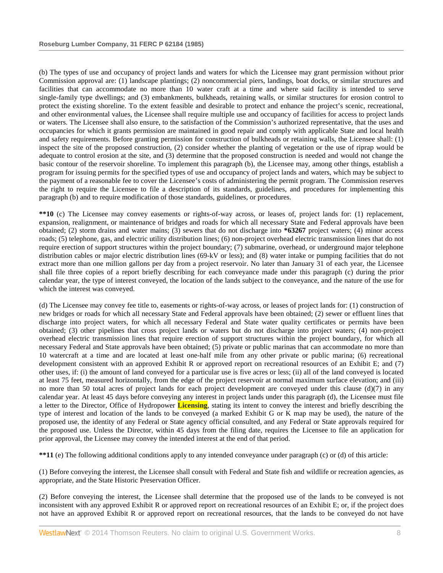(b) The types of use and occupancy of project lands and waters for which the Licensee may grant permission without prior Commission approval are: (1) landscape plantings; (2) noncommercial piers, landings, boat docks, or similar structures and facilities that can accommodate no more than 10 water craft at a time and where said facility is intended to serve single-family type dwellings; and (3) embankments, bulkheads, retaining walls, or similar structures for erosion control to protect the existing shoreline. To the extent feasible and desirable to protect and enhance the project's scenic, recreational, and other environmental values, the Licensee shall require multiple use and occupancy of facilities for access to project lands or waters. The Licensee shall also ensure, to the satisfaction of the Commission's authorized representative, that the uses and occupancies for which it grants permission are maintained in good repair and comply with applicable State and local health and safety requirements. Before granting permission for construction of bulkheads or retaining walls, the Licensee shall: (1) inspect the site of the proposed construction, (2) consider whether the planting of vegetation or the use of riprap would be adequate to control erosion at the site, and (3) determine that the proposed construction is needed and would not change the basic contour of the reservoir shoreline. To implement this paragraph (b), the Licensee may, among other things, establish a program for issuing permits for the specified types of use and occupancy of project lands and waters, which may be subject to the payment of a reasonable fee to cover the Licensee's costs of administering the permit program. The Commission reserves the right to require the Licensee to file a description of its standards, guidelines, and procedures for implementing this paragraph (b) and to require modification of those standards, guidelines, or procedures.

**\*\*10** (c) The Licensee may convey easements or rights-of-way across, or leases of, project lands for: (1) replacement, expansion, realignment, or maintenance of bridges and roads for which all necessary State and Federal approvals have been obtained; (2) storm drains and water mains; (3) sewers that do not discharge into **\*63267** project waters; (4) minor access roads; (5) telephone, gas, and electric utility distribution lines; (6) non-project overhead electric transmission lines that do not require erection of support structures within the project boundary; (7) submarine, overhead, or underground major telephone distribution cables or major electric distribution lines (69-kV or less); and (8) water intake or pumping facilities that do not extract more than one million gallons per day from a project reservoir. No later than January 31 of each year, the Licensee shall file three copies of a report briefly describing for each conveyance made under this paragraph (c) during the prior calendar year, the type of interest conveyed, the location of the lands subject to the conveyance, and the nature of the use for which the interest was conveyed.

(d) The Licensee may convey fee title to, easements or rights-of-way across, or leases of project lands for: (1) construction of new bridges or roads for which all necessary State and Federal approvals have been obtained; (2) sewer or effluent lines that discharge into project waters, for which all necessary Federal and State water quality certificates or permits have been obtained; (3) other pipelines that cross project lands or waters but do not discharge into project waters; (4) non-project overhead electric transmission lines that require erection of support structures within the project boundary, for which all necessary Federal and State approvals have been obtained; (5) private or public marinas that can accommodate no more than 10 watercraft at a time and are located at least one-half mile from any other private or public marina; (6) recreational development consistent with an approved Exhibit R or approved report on recreational resources of an Exhibit E; and (7) other uses, if: (i) the amount of land conveyed for a particular use is five acres or less; (ii) all of the land conveyed is located at least 75 feet, measured horizontally, from the edge of the project reservoir at normal maximum surface elevation; and (iii) no more than 50 total acres of project lands for each project development are conveyed under this clause  $(d)(7)$  in any calendar year. At least 45 days before conveying any interest in project lands under this paragraph (d), the Licensee must file a letter to the Director, Office of Hydropower **Licensing**, stating its intent to convey the interest and briefly describing the type of interest and location of the lands to be conveyed (a marked Exhibit G or K map may be used), the nature of the proposed use, the identity of any Federal or State agency official consulted, and any Federal or State approvals required for the proposed use. Unless the Director, within 45 days from the filing date, requires the Licensee to file an application for prior approval, the Licensee may convey the intended interest at the end of that period.

**\*\*11** (e) The following additional conditions apply to any intended conveyance under paragraph (c) or (d) of this article:

(1) Before conveying the interest, the Licensee shall consult with Federal and State fish and wildlife or recreation agencies, as appropriate, and the State Historic Preservation Officer.

(2) Before conveying the interest, the Licensee shall determine that the proposed use of the lands to be conveyed is not inconsistent with any approved Exhibit R or approved report on recreational resources of an Exhibit E; or, if the project does not have an approved Exhibit R or approved report on recreational resources, that the lands to be conveyed do not have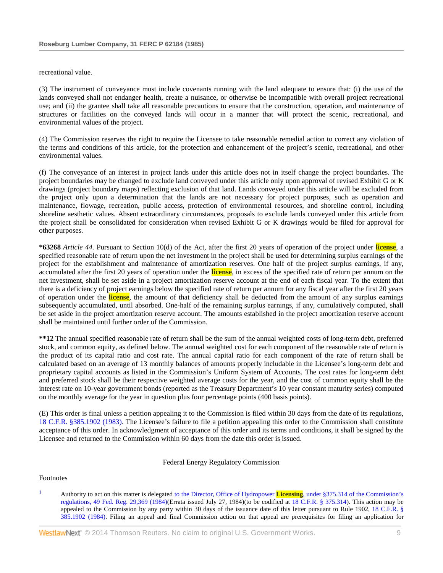recreational value.

(3) The instrument of conveyance must include covenants running with the land adequate to ensure that: (i) the use of the lands conveyed shall not endanger health, create a nuisance, or otherwise be incompatible with overall project recreational use; and (ii) the grantee shall take all reasonable precautions to ensure that the construction, operation, and maintenance of structures or facilities on the conveyed lands will occur in a manner that will protect the scenic, recreational, and environmental values of the project.

(4) The Commission reserves the right to require the Licensee to take reasonable remedial action to correct any violation of the terms and conditions of this article, for the protection and enhancement of the project's scenic, recreational, and other environmental values.

(f) The conveyance of an interest in project lands under this article does not in itself change the project boundaries. The project boundaries may be changed to exclude land conveyed under this article only upon approval of revised Exhibit G or K drawings (project boundary maps) reflecting exclusion of that land. Lands conveyed under this article will be excluded from the project only upon a determination that the lands are not necessary for project purposes, such as operation and maintenance, flowage, recreation, public access, protection of environmental resources, and shoreline control, including shoreline aesthetic values. Absent extraordinary circumstances, proposals to exclude lands conveyed under this article from the project shall be consolidated for consideration when revised Exhibit G or K drawings would be filed for approval for other purposes.

**\*63268** *Article 44.* Pursuant to Section 10(d) of the Act, after the first 20 years of operation of the project under **license**, a specified reasonable rate of return upon the net investment in the project shall be used for determining surplus earnings of the project for the establishment and maintenance of amortization reserves. One half of the project surplus earnings, if any, accumulated after the first 20 years of operation under the **license**, in excess of the specified rate of return per annum on the net investment, shall be set aside in a project amortization reserve account at the end of each fiscal year. To the extent that there is a deficiency of project earnings below the specified rate of return per annum for any fiscal year after the first 20 years of operation under the **license**, the amount of that deficiency shall be deducted from the amount of any surplus earnings subsequently accumulated, until absorbed. One-half of the remaining surplus earnings, if any, cumulatively computed, shall be set aside in the project amortization reserve account. The amounts established in the project amortization reserve account shall be maintained until further order of the Commission.

**\*\*12** The annual specified reasonable rate of return shall be the sum of the annual weighted costs of long-term debt, preferred stock, and common equity, as defined below. The annual weighted cost for each component of the reasonable rate of return is the product of its capital ratio and cost rate. The annual capital ratio for each component of the rate of return shall be calculated based on an average of 13 monthly balances of amounts properly includable in the Licensee's long-term debt and proprietary capital accounts as listed in the Commission's Uniform System of Accounts. The cost rates for long-term debt and preferred stock shall be their respective weighted average costs for the year, and the cost of common equity shall be the interest rate on 10-year government bonds (reported as the Treasury Department's 10 year constant maturity series) computed on the monthly average for the year in question plus four percentage points (400 basis points).

(E) This order is final unless a petition appealing it to the Commission is filed within 30 days from the date of its regulations, [18 C.F.R. §385.1902 \(1983\).](http://www.westlaw.com/Link/Document/FullText?findType=L&pubNum=1000547&cite=18CFRS385.1902&originatingDoc=Idc352626394c11db8ac4e022126eafc3&refType=LQ&originationContext=document&vr=3.0&rs=cblt1.0&transitionType=DocumentItem&contextData=(sc.Search)) The Licensee's failure to file a petition appealing this order to the Commission shall constitute acceptance of this order. In acknowledgment of acceptance of this order and its terms and conditions, it shall be signed by the Licensee and returned to the Commission within 60 days from the date this order is issued.

Federal Energy Regulatory Commission

Footnotes

<sup>1</sup> Authority to act on this matter is delegated [to the Director, Office of Hydropower](http://www.westlaw.com/Link/Document/FullText?findType=Y&serNum=0101733535&pubNum=1037&originationContext=document&vr=3.0&rs=cblt1.0&transitionType=DocumentItem&contextData=(sc.Search)#co_pp_sp_1037_29369) **Licensing**, under §375.314 of the Commission's [regulations, 49 Fed. Reg. 29,369 \(1984\)\(](http://www.westlaw.com/Link/Document/FullText?findType=Y&serNum=0101733535&pubNum=1037&originationContext=document&vr=3.0&rs=cblt1.0&transitionType=DocumentItem&contextData=(sc.Search)#co_pp_sp_1037_29369)Errata issued July 27, 1984)(to be codified at [18 C.F.R. § 375.314\)](http://www.westlaw.com/Link/Document/FullText?findType=L&pubNum=1000547&cite=18CFRS375.314&originatingDoc=Idc352626394c11db8ac4e022126eafc3&refType=LQ&originationContext=document&vr=3.0&rs=cblt1.0&transitionType=DocumentItem&contextData=(sc.Search)). This action may be appealed to the Commission by any party within 30 days of the issuance date of this letter pursuant to Rule 1902, [18 C.F.R. §](http://www.westlaw.com/Link/Document/FullText?findType=L&pubNum=1000547&cite=18CFRS385.1902&originatingDoc=Idc352626394c11db8ac4e022126eafc3&refType=LQ&originationContext=document&vr=3.0&rs=cblt1.0&transitionType=DocumentItem&contextData=(sc.Search))  [385.1902 \(1984\).](http://www.westlaw.com/Link/Document/FullText?findType=L&pubNum=1000547&cite=18CFRS385.1902&originatingDoc=Idc352626394c11db8ac4e022126eafc3&refType=LQ&originationContext=document&vr=3.0&rs=cblt1.0&transitionType=DocumentItem&contextData=(sc.Search)) Filing an appeal and final Commission action on that appeal are prerequisites for filing an application for